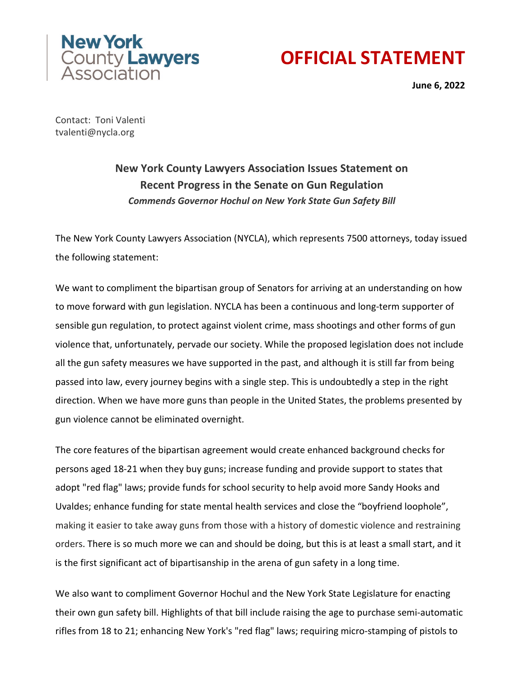

## **OFFICIAL STATEMENT**

**June 6, 2022**

Contact: Toni Valenti tvalenti@nycla.org

## **New York County Lawyers Association Issues Statement on Recent Progress in the Senate on Gun Regulation** *Commends Governor Hochul on New York State Gun Safety Bill*

The New York County Lawyers Association (NYCLA), which represents 7500 attorneys, today issued the following statement:

We want to compliment the bipartisan group of Senators for arriving at an understanding on how to move forward with gun legislation. NYCLA has been a continuous and long-term supporter of sensible gun regulation, to protect against violent crime, mass shootings and other forms of gun violence that, unfortunately, pervade our society. While the proposed legislation does not include all the gun safety measures we have supported in the past, and although it is still far from being passed into law, every journey begins with a single step. This is undoubtedly a step in the right direction. When we have more guns than people in the United States, the problems presented by gun violence cannot be eliminated overnight.

The core features of the bipartisan agreement would create enhanced background checks for persons aged 18-21 when they buy guns; increase funding and provide support to states that adopt "red flag" laws; provide funds for school security to help avoid more Sandy Hooks and Uvaldes; enhance funding for state mental health services and close the "boyfriend loophole", making it easier to take away guns from those with a history of domestic violence and restraining orders. There is so much more we can and should be doing, but this is at least a small start, and it is the first significant act of bipartisanship in the arena of gun safety in a long time.

We also want to compliment Governor Hochul and the New York State Legislature for enacting their own gun safety bill. Highlights of that bill include raising the age to purchase semi-automatic rifles from 18 to 21; enhancing New York's "red flag" laws; requiring micro-stamping of pistols to